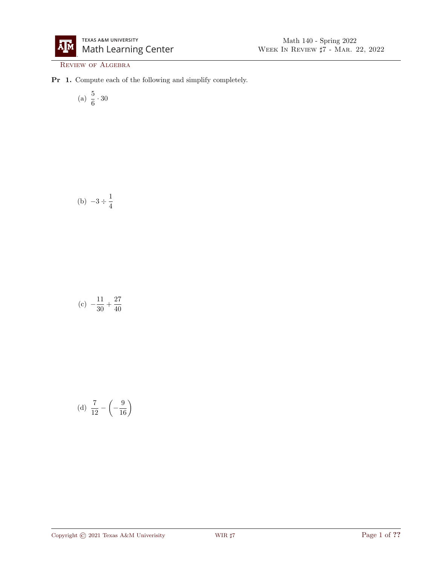

REVIEW OF ALGEBRA

Pr 1. Compute each of the following and simplify completely.

(a) 
$$
\frac{5}{6} \cdot 30
$$

(b) 
$$
-3 \div \frac{1}{4}
$$

$$
(c) -\frac{11}{30} + \frac{27}{40}
$$

(d) 
$$
\frac{7}{12} - \left(-\frac{9}{16}\right)
$$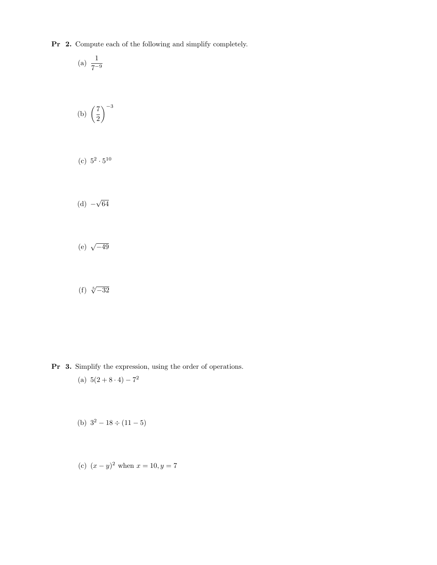Pr 2. Compute each of the following and simplify completely.

(a) 
$$
\frac{1}{7-9}
$$
  
(b)  $\left(\frac{7}{2}\right)^{-3}$ 

(c) 
$$
5^2 \cdot 5^{10}
$$

$$
(d) -\sqrt{64}
$$

- (e)  $\sqrt{-49}$
- (f)  $\sqrt[5]{-32}$

Pr 3. Simplify the expression, using the order of operations.

- (a)  $5(2+8\cdot 4)-7^2$
- (b)  $3^2 18 \div (11 5)$
- (c)  $(x y)^2$  when  $x = 10, y = 7$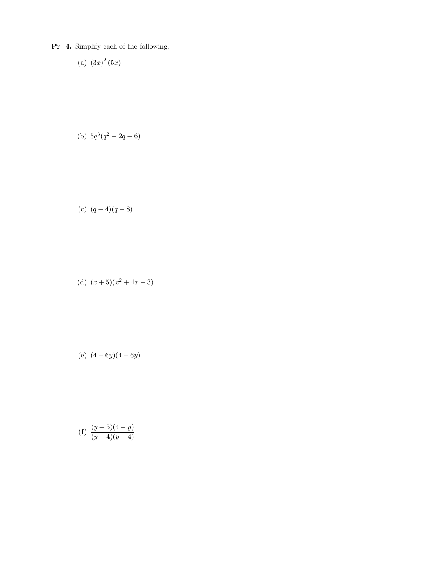Pr 4. Simplify each of the following.

$$
(a) \ \left(3x\right)^2 (5x)
$$

(b) 
$$
5q^3(q^2 - 2q + 6)
$$

(c) 
$$
(q+4)(q-8)
$$

(d) 
$$
(x+5)(x^2+4x-3)
$$

(e) 
$$
(4-6y)(4+6y)
$$

(f) 
$$
\frac{(y+5)(4-y)}{(y+4)(y-4)}
$$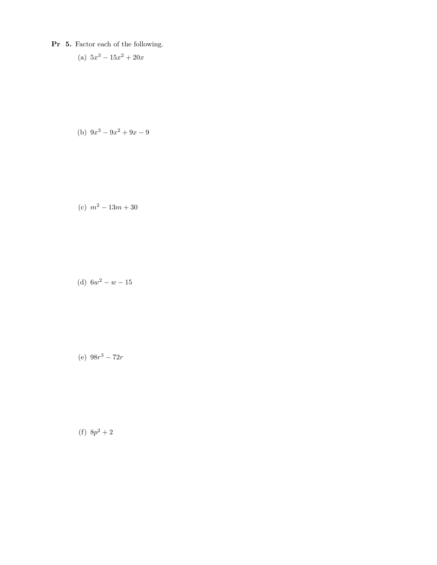- Pr 5. Factor each of the following.
	- (a)  $5x^3 15x^2 + 20x$

(b) 
$$
9x^3 - 9x^2 + 9x - 9
$$

(c) 
$$
m^2 - 13m + 30
$$

(d)  $6w^2 - w - 15$ 

(e)  $98r^3 - 72r$ 

(f)  $8p^2+2$